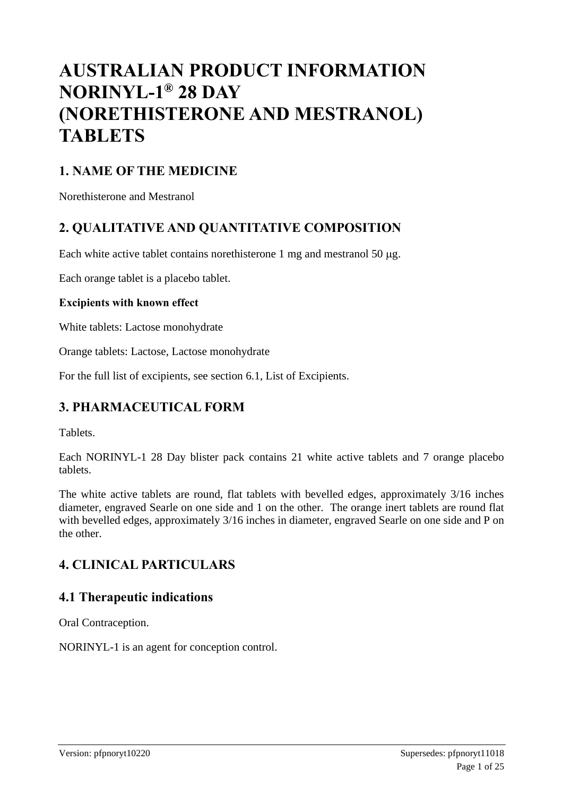# **AUSTRALIAN PRODUCT INFORMATION NORINYL-1 ® 28 DAY (NORETHISTERONE AND MESTRANOL) TABLETS**

# **1. NAME OF THE MEDICINE**

Norethisterone and Mestranol

# **2. QUALITATIVE AND QUANTITATIVE COMPOSITION**

Each white active tablet contains norethisterone 1 mg and mestranol 50  $\mu$ g.

Each orange tablet is a placebo tablet.

#### **Excipients with known effect**

White tablets: Lactose monohydrate

Orange tablets: Lactose, Lactose monohydrate

For the full list of excipients, see section 6.1, List of Excipients.

# **3. PHARMACEUTICAL FORM**

Tablets.

Each NORINYL-1 28 Day blister pack contains 21 white active tablets and 7 orange placebo tablets.

The white active tablets are round, flat tablets with bevelled edges, approximately 3/16 inches diameter, engraved Searle on one side and 1 on the other. The orange inert tablets are round flat with bevelled edges, approximately 3/16 inches in diameter, engraved Searle on one side and P on the other.

### **4. CLINICAL PARTICULARS**

### **4.1 Therapeutic indications**

Oral Contraception.

NORINYL-1 is an agent for conception control.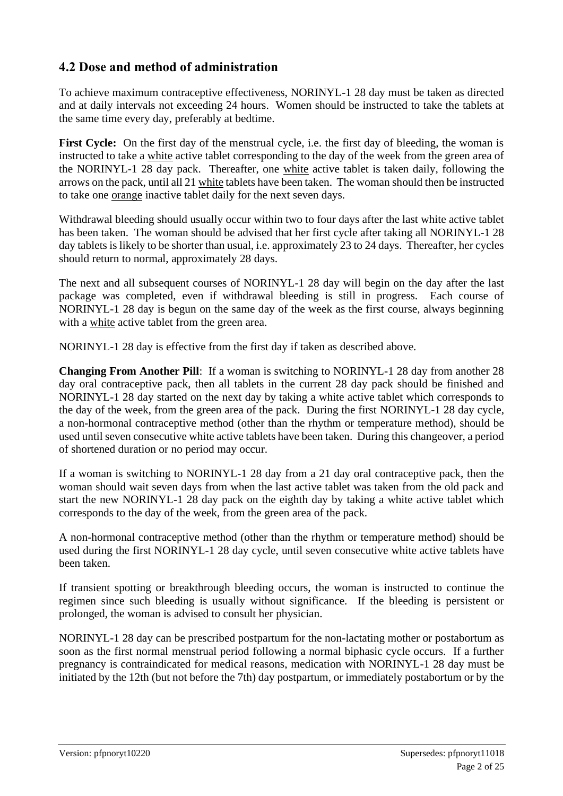# **4.2 Dose and method of administration**

To achieve maximum contraceptive effectiveness, NORINYL-1 28 day must be taken as directed and at daily intervals not exceeding 24 hours. Women should be instructed to take the tablets at the same time every day, preferably at bedtime.

**First Cycle:** On the first day of the menstrual cycle, i.e. the first day of bleeding, the woman is instructed to take a white active tablet corresponding to the day of the week from the green area of the NORINYL-1 28 day pack. Thereafter, one white active tablet is taken daily, following the arrows on the pack, until all 21 white tablets have been taken. The woman should then be instructed to take one orange inactive tablet daily for the next seven days.

Withdrawal bleeding should usually occur within two to four days after the last white active tablet has been taken. The woman should be advised that her first cycle after taking all NORINYL-1 28 day tablets is likely to be shorter than usual, i.e. approximately 23 to 24 days. Thereafter, her cycles should return to normal, approximately 28 days.

The next and all subsequent courses of NORINYL-1 28 day will begin on the day after the last package was completed, even if withdrawal bleeding is still in progress. Each course of NORINYL-1 28 day is begun on the same day of the week as the first course, always beginning with a white active tablet from the green area.

NORINYL-1 28 day is effective from the first day if taken as described above.

**Changing From Another Pill**: If a woman is switching to NORINYL-1 28 day from another 28 day oral contraceptive pack, then all tablets in the current 28 day pack should be finished and NORINYL-1 28 day started on the next day by taking a white active tablet which corresponds to the day of the week, from the green area of the pack. During the first NORINYL-1 28 day cycle, a non-hormonal contraceptive method (other than the rhythm or temperature method), should be used until seven consecutive white active tablets have been taken. During this changeover, a period of shortened duration or no period may occur.

If a woman is switching to NORINYL-1 28 day from a 21 day oral contraceptive pack, then the woman should wait seven days from when the last active tablet was taken from the old pack and start the new NORINYL-1 28 day pack on the eighth day by taking a white active tablet which corresponds to the day of the week, from the green area of the pack.

A non-hormonal contraceptive method (other than the rhythm or temperature method) should be used during the first NORINYL-1 28 day cycle, until seven consecutive white active tablets have been taken.

If transient spotting or breakthrough bleeding occurs, the woman is instructed to continue the regimen since such bleeding is usually without significance. If the bleeding is persistent or prolonged, the woman is advised to consult her physician.

NORINYL-1 28 day can be prescribed postpartum for the non-lactating mother or postabortum as soon as the first normal menstrual period following a normal biphasic cycle occurs. If a further pregnancy is contraindicated for medical reasons, medication with NORINYL-1 28 day must be initiated by the 12th (but not before the 7th) day postpartum, or immediately postabortum or by the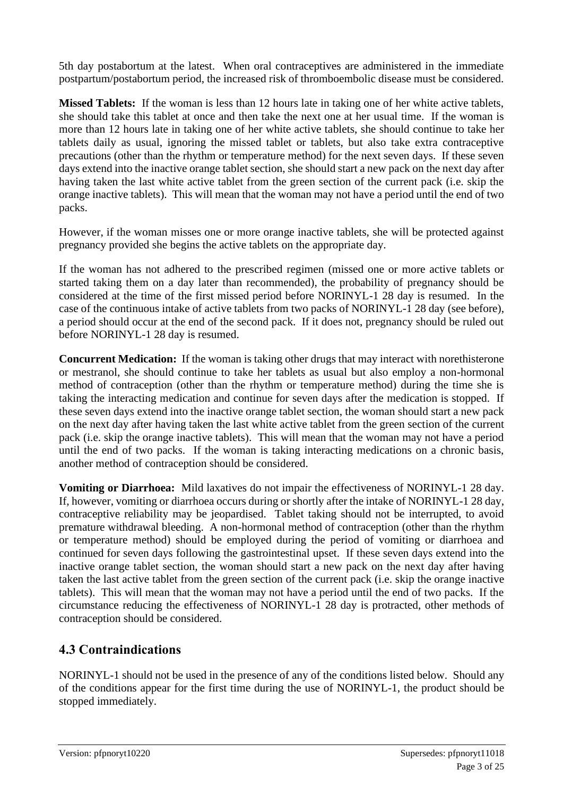5th day postabortum at the latest. When oral contraceptives are administered in the immediate postpartum/postabortum period, the increased risk of thromboembolic disease must be considered.

**Missed Tablets:** If the woman is less than 12 hours late in taking one of her white active tablets, she should take this tablet at once and then take the next one at her usual time. If the woman is more than 12 hours late in taking one of her white active tablets, she should continue to take her tablets daily as usual, ignoring the missed tablet or tablets, but also take extra contraceptive precautions (other than the rhythm or temperature method) for the next seven days. If these seven days extend into the inactive orange tablet section, she should start a new pack on the next day after having taken the last white active tablet from the green section of the current pack (i.e. skip the orange inactive tablets). This will mean that the woman may not have a period until the end of two packs.

However, if the woman misses one or more orange inactive tablets, she will be protected against pregnancy provided she begins the active tablets on the appropriate day.

If the woman has not adhered to the prescribed regimen (missed one or more active tablets or started taking them on a day later than recommended), the probability of pregnancy should be considered at the time of the first missed period before NORINYL-1 28 day is resumed. In the case of the continuous intake of active tablets from two packs of NORINYL-1 28 day (see before), a period should occur at the end of the second pack. If it does not, pregnancy should be ruled out before NORINYL-1 28 day is resumed.

**Concurrent Medication:** If the woman is taking other drugs that may interact with norethisterone or mestranol, she should continue to take her tablets as usual but also employ a non-hormonal method of contraception (other than the rhythm or temperature method) during the time she is taking the interacting medication and continue for seven days after the medication is stopped. If these seven days extend into the inactive orange tablet section, the woman should start a new pack on the next day after having taken the last white active tablet from the green section of the current pack (i.e. skip the orange inactive tablets). This will mean that the woman may not have a period until the end of two packs. If the woman is taking interacting medications on a chronic basis, another method of contraception should be considered.

**Vomiting or Diarrhoea:** Mild laxatives do not impair the effectiveness of NORINYL-1 28 day. If, however, vomiting or diarrhoea occurs during or shortly after the intake of NORINYL-1 28 day, contraceptive reliability may be jeopardised. Tablet taking should not be interrupted, to avoid premature withdrawal bleeding. A non-hormonal method of contraception (other than the rhythm or temperature method) should be employed during the period of vomiting or diarrhoea and continued for seven days following the gastrointestinal upset. If these seven days extend into the inactive orange tablet section, the woman should start a new pack on the next day after having taken the last active tablet from the green section of the current pack (i.e. skip the orange inactive tablets). This will mean that the woman may not have a period until the end of two packs. If the circumstance reducing the effectiveness of NORINYL-1 28 day is protracted, other methods of contraception should be considered.

# **4.3 Contraindications**

NORINYL-1 should not be used in the presence of any of the conditions listed below. Should any of the conditions appear for the first time during the use of NORINYL-1, the product should be stopped immediately.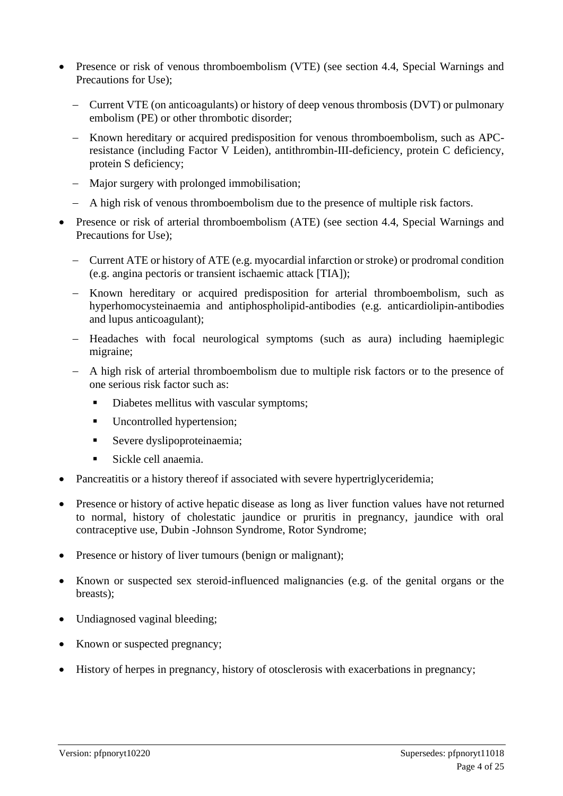- Presence or risk of venous thromboembolism (VTE) (see section 4.4, Special Warnings and Precautions for Use);
	- − Current VTE (on anticoagulants) or history of deep venous thrombosis (DVT) or pulmonary embolism (PE) or other thrombotic disorder;
	- − Known hereditary or acquired predisposition for venous thromboembolism, such as APCresistance (including Factor V Leiden), antithrombin-III-deficiency, protein C deficiency, protein S deficiency;
	- − Major surgery with prolonged immobilisation;
	- − A high risk of venous thromboembolism due to the presence of multiple risk factors.
- Presence or risk of arterial thromboembolism (ATE) (see section 4.4, Special Warnings and Precautions for Use);
	- − Current ATE or history of ATE (e.g. myocardial infarction or stroke) or prodromal condition (e.g. angina pectoris or transient ischaemic attack [TIA]);
	- − Known hereditary or acquired predisposition for arterial thromboembolism, such as hyperhomocysteinaemia and antiphospholipid-antibodies (e.g. anticardiolipin-antibodies and lupus anticoagulant);
	- − Headaches with focal neurological symptoms (such as aura) including haemiplegic migraine;
	- − A high risk of arterial thromboembolism due to multiple risk factors or to the presence of one serious risk factor such as:
		- Diabetes mellitus with vascular symptoms;
		- Uncontrolled hypertension;
		- **Exerce dyslipoproteinaemia;**
		- Sickle cell anaemia.
- Pancreatitis or a history thereof if associated with severe hypertriglyceridemia;
- Presence or history of active hepatic disease as long as liver function values have not returned to normal, history of cholestatic jaundice or pruritis in pregnancy, jaundice with oral contraceptive use, Dubin -Johnson Syndrome, Rotor Syndrome;
- Presence or history of liver tumours (benign or malignant);
- Known or suspected sex steroid-influenced malignancies (e.g. of the genital organs or the breasts);
- Undiagnosed vaginal bleeding:
- Known or suspected pregnancy;
- History of herpes in pregnancy, history of otosclerosis with exacerbations in pregnancy;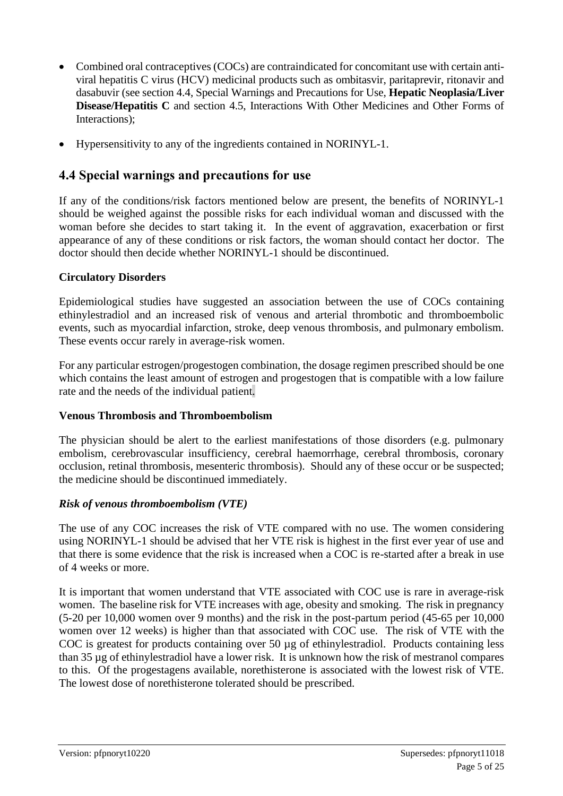- Combined oral contraceptives (COCs) are contraindicated for concomitant use with certain antiviral hepatitis C virus (HCV) medicinal products such as ombitasvir, paritaprevir, ritonavir and dasabuvir (see section 4.4, Special Warnings and Precautions for Use, **Hepatic Neoplasia/Liver Disease/Hepatitis C** and section 4.5, Interactions With Other Medicines and Other Forms of Interactions);
- Hypersensitivity to any of the ingredients contained in NORINYL-1.

# **4.4 Special warnings and precautions for use**

If any of the conditions/risk factors mentioned below are present, the benefits of NORINYL-1 should be weighed against the possible risks for each individual woman and discussed with the woman before she decides to start taking it. In the event of aggravation, exacerbation or first appearance of any of these conditions or risk factors, the woman should contact her doctor. The doctor should then decide whether NORINYL-1 should be discontinued.

### **Circulatory Disorders**

Epidemiological studies have suggested an association between the use of COCs containing ethinylestradiol and an increased risk of venous and arterial thrombotic and thromboembolic events, such as myocardial infarction, stroke, deep venous thrombosis, and pulmonary embolism. These events occur rarely in average-risk women.

For any particular estrogen/progestogen combination, the dosage regimen prescribed should be one which contains the least amount of estrogen and progestogen that is compatible with a low failure rate and the needs of the individual patient.

#### **Venous Thrombosis and Thromboembolism**

The physician should be alert to the earliest manifestations of those disorders (e.g. pulmonary embolism, cerebrovascular insufficiency, cerebral haemorrhage, cerebral thrombosis, coronary occlusion, retinal thrombosis, mesenteric thrombosis). Should any of these occur or be suspected; the medicine should be discontinued immediately.

### *Risk of venous thromboembolism (VTE)*

The use of any COC increases the risk of VTE compared with no use. The women considering using NORINYL-1 should be advised that her VTE risk is highest in the first ever year of use and that there is some evidence that the risk is increased when a COC is re-started after a break in use of 4 weeks or more.

It is important that women understand that VTE associated with COC use is rare in average-risk women. The baseline risk for VTE increases with age, obesity and smoking. The risk in pregnancy (5-20 per 10,000 women over 9 months) and the risk in the post-partum period (45-65 per 10,000 women over 12 weeks) is higher than that associated with COC use. The risk of VTE with the COC is greatest for products containing over 50 µg of ethinylestradiol. Products containing less than 35 µg of ethinylestradiol have a lower risk. It is unknown how the risk of mestranol compares to this. Of the progestagens available, norethisterone is associated with the lowest risk of VTE. The lowest dose of norethisterone tolerated should be prescribed.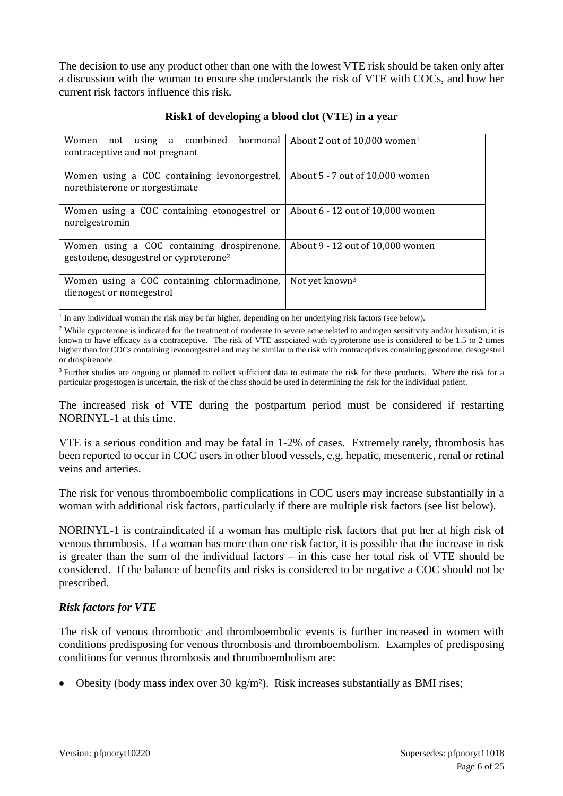The decision to use any product other than one with the lowest VTE risk should be taken only after a discussion with the woman to ensure she understands the risk of VTE with COCs, and how her current risk factors influence this risk.

| not using a combined hormonal<br>Women<br>contraceptive and not pregnant                         | About 2 out of 10,000 women <sup>1</sup> |
|--------------------------------------------------------------------------------------------------|------------------------------------------|
| Women using a COC containing levonorgestrel,<br>norethisterone or norgestimate                   | About 5 - 7 out of 10,000 women          |
| Women using a COC containing etonogestrel or<br>norelgestromin                                   | About 6 - 12 out of 10,000 women         |
| Women using a COC containing drospirenone,<br>gestodene, desogestrel or cyproterone <sup>2</sup> | About 9 - 12 out of 10,000 women         |
| Women using a COC containing chlormadinone,<br>dienogest or nomegestrol                          | Not yet known <sup>3</sup>               |

#### **Risk1 of developing a blood clot (VTE) in a year**

<sup>1</sup> In any individual woman the risk may be far higher, depending on her underlying risk factors (see below).

<sup>2</sup> While cyproterone is indicated for the treatment of moderate to severe acne related to androgen sensitivity and/or hirsutism, it is known to have efficacy as a contraceptive. The risk of VTE associated with cyproterone use is considered to be 1.5 to 2 times higher than for COCs containing levonorgestrel and may be similar to the risk with contraceptives containing gestodene, desogestrel or drospirenone.

<sup>3</sup> Further studies are ongoing or planned to collect sufficient data to estimate the risk for these products. Where the risk for a particular progestogen is uncertain, the risk of the class should be used in determining the risk for the individual patient.

The increased risk of VTE during the postpartum period must be considered if restarting NORINYL-1 at this time.

VTE is a serious condition and may be fatal in 1-2% of cases. Extremely rarely, thrombosis has been reported to occur in COC users in other blood vessels, e.g. hepatic, mesenteric, renal or retinal veins and arteries.

The risk for venous thromboembolic complications in COC users may increase substantially in a woman with additional risk factors, particularly if there are multiple risk factors (see list below).

NORINYL-1 is contraindicated if a woman has multiple risk factors that put her at high risk of venous thrombosis. If a woman has more than one risk factor, it is possible that the increase in risk is greater than the sum of the individual factors – in this case her total risk of VTE should be considered. If the balance of benefits and risks is considered to be negative a COC should not be prescribed.

#### *Risk factors for VTE*

The risk of venous thrombotic and thromboembolic events is further increased in women with conditions predisposing for venous thrombosis and thromboembolism. Examples of predisposing conditions for venous thrombosis and thromboembolism are:

• Obesity (body mass index over 30 kg/m<sup>2</sup>). Risk increases substantially as BMI rises;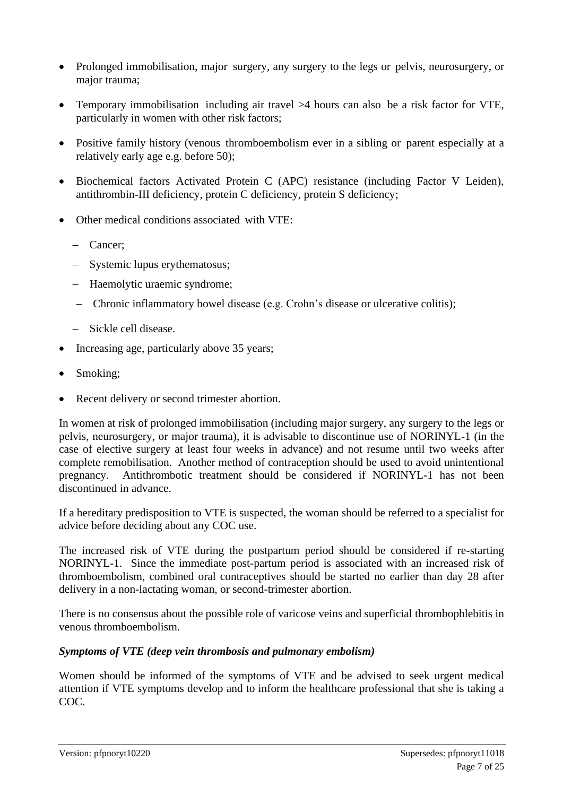- Prolonged immobilisation, major surgery, any surgery to the legs or pelvis, neurosurgery, or major trauma;
- Temporary immobilisation including air travel >4 hours can also be a risk factor for VTE, particularly in women with other risk factors;
- Positive family history (venous thromboembolism ever in a sibling or parent especially at a relatively early age e.g. before 50);
- Biochemical factors Activated Protein C (APC) resistance (including Factor V Leiden), antithrombin-III deficiency, protein C deficiency, protein S deficiency;
- Other medical conditions associated with VTE:
	- − Cancer;
	- − Systemic lupus erythematosus;
	- − Haemolytic uraemic syndrome;
	- − Chronic inflammatory bowel disease (e.g. Crohn's disease or ulcerative colitis);
	- − Sickle cell disease.
- Increasing age, particularly above 35 years;
- Smoking;
- Recent delivery or second trimester abortion.

In women at risk of prolonged immobilisation (including major surgery, any surgery to the legs or pelvis, neurosurgery, or major trauma), it is advisable to discontinue use of NORINYL-1 (in the case of elective surgery at least four weeks in advance) and not resume until two weeks after complete remobilisation. Another method of contraception should be used to avoid unintentional pregnancy. Antithrombotic treatment should be considered if NORINYL-1 has not been discontinued in advance.

If a hereditary predisposition to VTE is suspected, the woman should be referred to a specialist for advice before deciding about any COC use.

The increased risk of VTE during the postpartum period should be considered if re-starting NORINYL-1. Since the immediate post-partum period is associated with an increased risk of thromboembolism, combined oral contraceptives should be started no earlier than day 28 after delivery in a non-lactating woman, or second-trimester abortion.

There is no consensus about the possible role of varicose veins and superficial thrombophlebitis in venous thromboembolism.

#### *Symptoms of VTE (deep vein thrombosis and pulmonary embolism)*

Women should be informed of the symptoms of VTE and be advised to seek urgent medical attention if VTE symptoms develop and to inform the healthcare professional that she is taking a COC.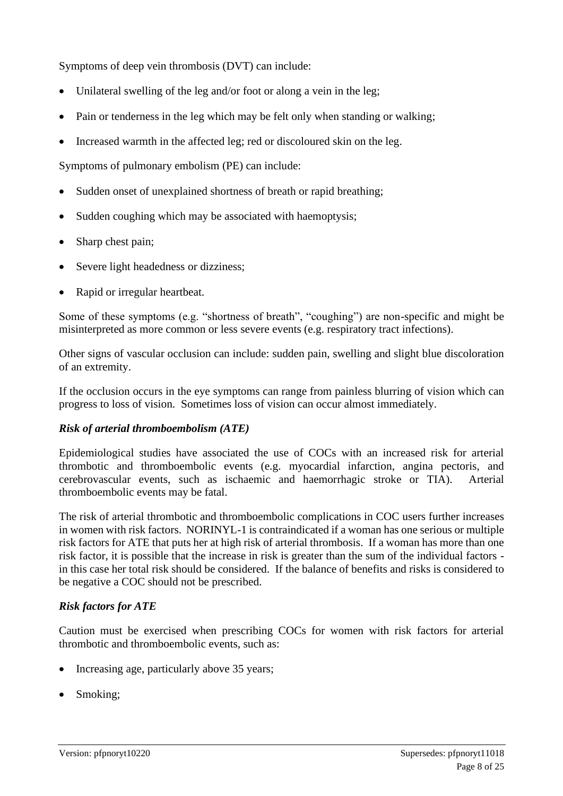Symptoms of deep vein thrombosis (DVT) can include:

- Unilateral swelling of the leg and/or foot or along a vein in the leg;
- Pain or tenderness in the leg which may be felt only when standing or walking;
- Increased warmth in the affected leg; red or discoloured skin on the leg.

Symptoms of pulmonary embolism (PE) can include:

- Sudden onset of unexplained shortness of breath or rapid breathing;
- Sudden coughing which may be associated with haemoptysis:
- Sharp chest pain;
- Severe light headedness or dizziness;
- Rapid or irregular heartbeat.

Some of these symptoms (e.g. "shortness of breath", "coughing") are non-specific and might be misinterpreted as more common or less severe events (e.g. respiratory tract infections).

Other signs of vascular occlusion can include: sudden pain, swelling and slight blue discoloration of an extremity.

If the occlusion occurs in the eye symptoms can range from painless blurring of vision which can progress to loss of vision. Sometimes loss of vision can occur almost immediately.

#### *Risk of arterial thromboembolism (ATE)*

Epidemiological studies have associated the use of COCs with an increased risk for arterial thrombotic and thromboembolic events (e.g. myocardial infarction, angina pectoris, and cerebrovascular events, such as ischaemic and haemorrhagic stroke or TIA). Arterial thromboembolic events may be fatal.

The risk of arterial thrombotic and thromboembolic complications in COC users further increases in women with risk factors. NORINYL-1 is contraindicated if a woman has one serious or multiple risk factors for ATE that puts her at high risk of arterial thrombosis. If a woman has more than one risk factor, it is possible that the increase in risk is greater than the sum of the individual factors in this case her total risk should be considered. If the balance of benefits and risks is considered to be negative a COC should not be prescribed.

#### *Risk factors for ATE*

Caution must be exercised when prescribing COCs for women with risk factors for arterial thrombotic and thromboembolic events, such as:

- Increasing age, particularly above 35 years;
- Smoking;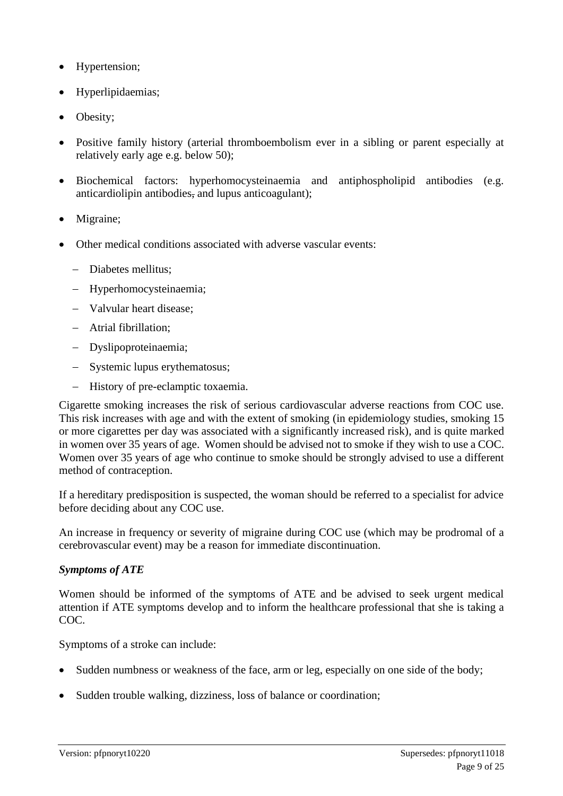- Hypertension;
- Hyperlipidaemias;
- Obesity;
- Positive family history (arterial thromboembolism ever in a sibling or parent especially at relatively early age e.g. below 50);
- Biochemical factors: hyperhomocysteinaemia and antiphospholipid antibodies (e.g. anticardiolipin antibodies, and lupus anticoagulant);
- Migraine;
- Other medical conditions associated with adverse vascular events:
	- − Diabetes mellitus;
	- − Hyperhomocysteinaemia;
	- − Valvular heart disease;
	- − Atrial fibrillation;
	- − Dyslipoproteinaemia;
	- − Systemic lupus erythematosus;
	- − History of pre-eclamptic toxaemia.

Cigarette smoking increases the risk of serious cardiovascular adverse reactions from COC use. This risk increases with age and with the extent of smoking (in epidemiology studies, smoking 15 or more cigarettes per day was associated with a significantly increased risk), and is quite marked in women over 35 years of age. Women should be advised not to smoke if they wish to use a COC. Women over 35 years of age who continue to smoke should be strongly advised to use a different method of contraception.

If a hereditary predisposition is suspected, the woman should be referred to a specialist for advice before deciding about any COC use.

An increase in frequency or severity of migraine during COC use (which may be prodromal of a cerebrovascular event) may be a reason for immediate discontinuation.

#### *Symptoms of ATE*

Women should be informed of the symptoms of ATE and be advised to seek urgent medical attention if ATE symptoms develop and to inform the healthcare professional that she is taking a COC.

Symptoms of a stroke can include:

- Sudden numbness or weakness of the face, arm or leg, especially on one side of the body;
- Sudden trouble walking, dizziness, loss of balance or coordination;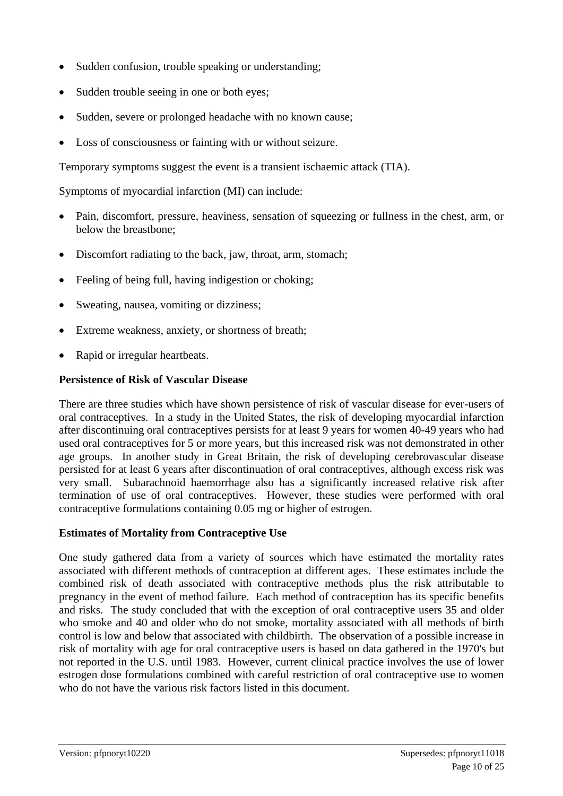- Sudden confusion, trouble speaking or understanding;
- Sudden trouble seeing in one or both eyes;
- Sudden, severe or prolonged headache with no known cause;
- Loss of consciousness or fainting with or without seizure.

Temporary symptoms suggest the event is a transient ischaemic attack (TIA).

Symptoms of myocardial infarction (MI) can include:

- Pain, discomfort, pressure, heaviness, sensation of squeezing or fullness in the chest, arm, or below the breastbone;
- Discomfort radiating to the back, jaw, throat, arm, stomach;
- Feeling of being full, having indigestion or choking;
- Sweating, nausea, vomiting or dizziness;
- Extreme weakness, anxiety, or shortness of breath;
- Rapid or irregular heartbeats.

#### **Persistence of Risk of Vascular Disease**

There are three studies which have shown persistence of risk of vascular disease for ever-users of oral contraceptives. In a study in the United States, the risk of developing myocardial infarction after discontinuing oral contraceptives persists for at least 9 years for women 40-49 years who had used oral contraceptives for 5 or more years, but this increased risk was not demonstrated in other age groups. In another study in Great Britain, the risk of developing cerebrovascular disease persisted for at least 6 years after discontinuation of oral contraceptives, although excess risk was very small. Subarachnoid haemorrhage also has a significantly increased relative risk after termination of use of oral contraceptives. However, these studies were performed with oral contraceptive formulations containing 0.05 mg or higher of estrogen.

#### **Estimates of Mortality from Contraceptive Use**

One study gathered data from a variety of sources which have estimated the mortality rates associated with different methods of contraception at different ages. These estimates include the combined risk of death associated with contraceptive methods plus the risk attributable to pregnancy in the event of method failure. Each method of contraception has its specific benefits and risks. The study concluded that with the exception of oral contraceptive users 35 and older who smoke and 40 and older who do not smoke, mortality associated with all methods of birth control is low and below that associated with childbirth. The observation of a possible increase in risk of mortality with age for oral contraceptive users is based on data gathered in the 1970's but not reported in the U.S. until 1983. However, current clinical practice involves the use of lower estrogen dose formulations combined with careful restriction of oral contraceptive use to women who do not have the various risk factors listed in this document.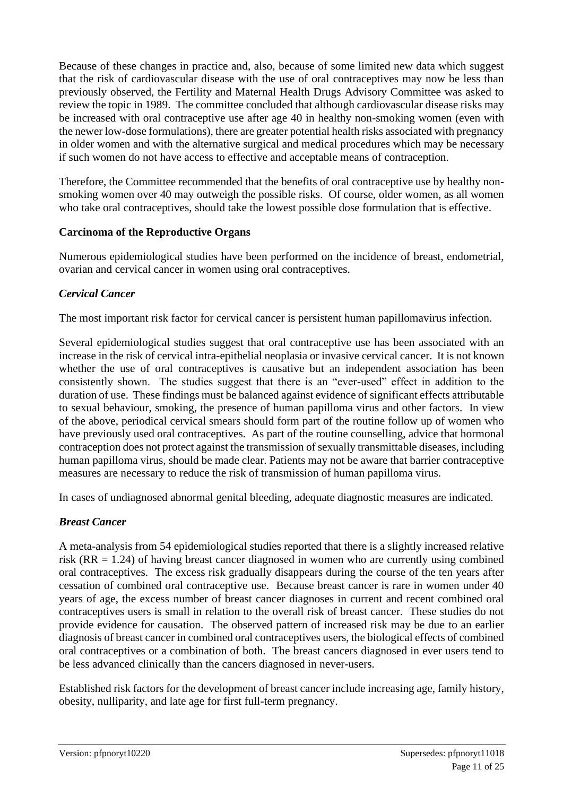Because of these changes in practice and, also, because of some limited new data which suggest that the risk of cardiovascular disease with the use of oral contraceptives may now be less than previously observed, the Fertility and Maternal Health Drugs Advisory Committee was asked to review the topic in 1989. The committee concluded that although cardiovascular disease risks may be increased with oral contraceptive use after age 40 in healthy non-smoking women (even with the newer low-dose formulations), there are greater potential health risks associated with pregnancy in older women and with the alternative surgical and medical procedures which may be necessary if such women do not have access to effective and acceptable means of contraception.

Therefore, the Committee recommended that the benefits of oral contraceptive use by healthy nonsmoking women over 40 may outweigh the possible risks. Of course, older women, as all women who take oral contraceptives, should take the lowest possible dose formulation that is effective.

#### **Carcinoma of the Reproductive Organs**

Numerous epidemiological studies have been performed on the incidence of breast, endometrial, ovarian and cervical cancer in women using oral contraceptives.

### *Cervical Cancer*

The most important risk factor for cervical cancer is persistent human papillomavirus infection.

Several epidemiological studies suggest that oral contraceptive use has been associated with an increase in the risk of cervical intra-epithelial neoplasia or invasive cervical cancer. It is not known whether the use of oral contraceptives is causative but an independent association has been consistently shown. The studies suggest that there is an "ever-used" effect in addition to the duration of use. These findings must be balanced against evidence of significant effects attributable to sexual behaviour, smoking, the presence of human papilloma virus and other factors. In view of the above, periodical cervical smears should form part of the routine follow up of women who have previously used oral contraceptives. As part of the routine counselling, advice that hormonal contraception does not protect against the transmission of sexually transmittable diseases, including human papilloma virus, should be made clear. Patients may not be aware that barrier contraceptive measures are necessary to reduce the risk of transmission of human papilloma virus.

In cases of undiagnosed abnormal genital bleeding, adequate diagnostic measures are indicated.

### *Breast Cancer*

A meta-analysis from 54 epidemiological studies reported that there is a slightly increased relative risk (RR = 1.24) of having breast cancer diagnosed in women who are currently using combined oral contraceptives. The excess risk gradually disappears during the course of the ten years after cessation of combined oral contraceptive use. Because breast cancer is rare in women under 40 years of age, the excess number of breast cancer diagnoses in current and recent combined oral contraceptives users is small in relation to the overall risk of breast cancer. These studies do not provide evidence for causation. The observed pattern of increased risk may be due to an earlier diagnosis of breast cancer in combined oral contraceptives users, the biological effects of combined oral contraceptives or a combination of both. The breast cancers diagnosed in ever users tend to be less advanced clinically than the cancers diagnosed in never-users.

Established risk factors for the development of breast cancer include increasing age, family history, obesity, nulliparity, and late age for first full-term pregnancy.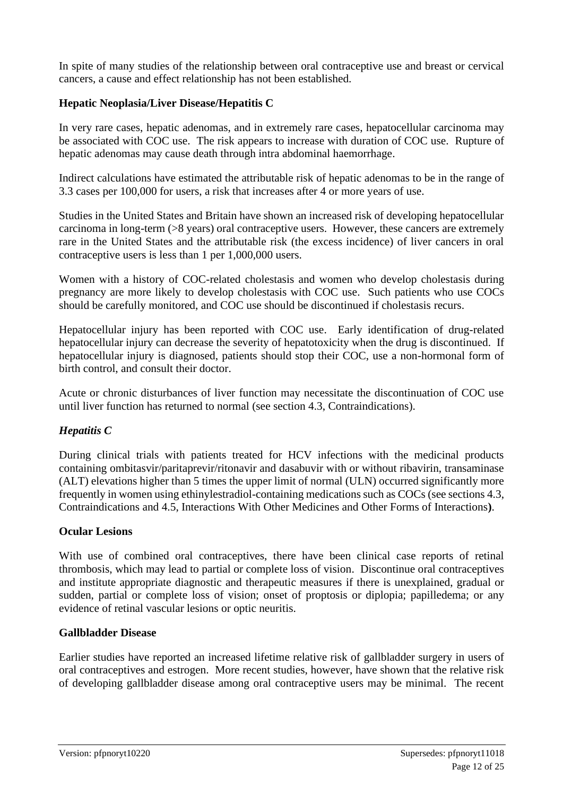In spite of many studies of the relationship between oral contraceptive use and breast or cervical cancers, a cause and effect relationship has not been established.

#### **Hepatic Neoplasia/Liver Disease/Hepatitis C**

In very rare cases, hepatic adenomas, and in extremely rare cases, hepatocellular carcinoma may be associated with COC use. The risk appears to increase with duration of COC use. Rupture of hepatic adenomas may cause death through intra abdominal haemorrhage.

Indirect calculations have estimated the attributable risk of hepatic adenomas to be in the range of 3.3 cases per 100,000 for users, a risk that increases after 4 or more years of use.

Studies in the United States and Britain have shown an increased risk of developing hepatocellular carcinoma in long-term (>8 years) oral contraceptive users. However, these cancers are extremely rare in the United States and the attributable risk (the excess incidence) of liver cancers in oral contraceptive users is less than 1 per 1,000,000 users.

Women with a history of COC-related cholestasis and women who develop cholestasis during pregnancy are more likely to develop cholestasis with COC use. Such patients who use COCs should be carefully monitored, and COC use should be discontinued if cholestasis recurs.

Hepatocellular injury has been reported with COC use. Early identification of drug-related hepatocellular injury can decrease the severity of hepatotoxicity when the drug is discontinued. If hepatocellular injury is diagnosed, patients should stop their COC, use a non-hormonal form of birth control, and consult their doctor.

Acute or chronic disturbances of liver function may necessitate the discontinuation of COC use until liver function has returned to normal (see section 4.3, Contraindications).

#### *Hepatitis C*

During clinical trials with patients treated for HCV infections with the medicinal products containing ombitasvir/paritaprevir/ritonavir and dasabuvir with or without ribavirin, transaminase (ALT) elevations higher than 5 times the upper limit of normal (ULN) occurred significantly more frequently in women using ethinylestradiol-containing medications such as COCs (see sections 4.3, Contraindications and 4.5, Interactions With Other Medicines and Other Forms of Interactions**)**.

#### **Ocular Lesions**

With use of combined oral contraceptives, there have been clinical case reports of retinal thrombosis, which may lead to partial or complete loss of vision. Discontinue oral contraceptives and institute appropriate diagnostic and therapeutic measures if there is unexplained, gradual or sudden, partial or complete loss of vision; onset of proptosis or diplopia; papilledema; or any evidence of retinal vascular lesions or optic neuritis.

#### **Gallbladder Disease**

Earlier studies have reported an increased lifetime relative risk of gallbladder surgery in users of oral contraceptives and estrogen. More recent studies, however, have shown that the relative risk of developing gallbladder disease among oral contraceptive users may be minimal. The recent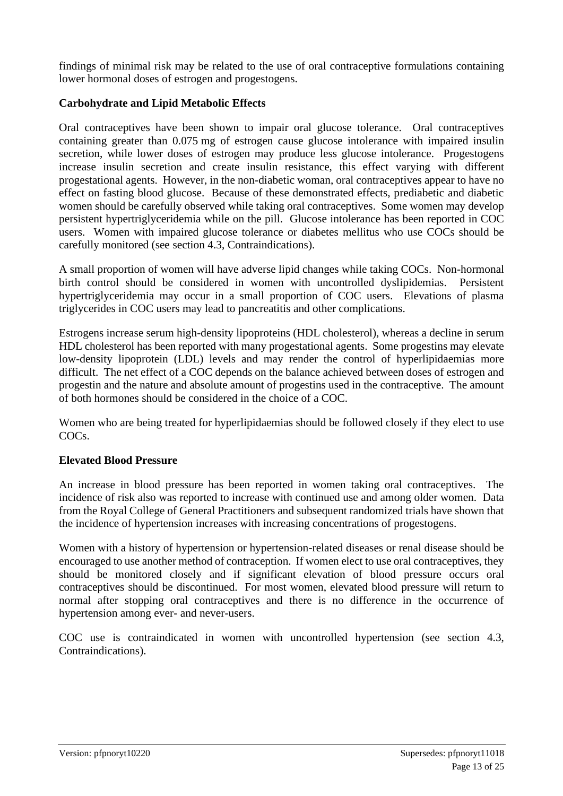findings of minimal risk may be related to the use of oral contraceptive formulations containing lower hormonal doses of estrogen and progestogens.

#### **Carbohydrate and Lipid Metabolic Effects**

Oral contraceptives have been shown to impair oral glucose tolerance. Oral contraceptives containing greater than 0.075 mg of estrogen cause glucose intolerance with impaired insulin secretion, while lower doses of estrogen may produce less glucose intolerance. Progestogens increase insulin secretion and create insulin resistance, this effect varying with different progestational agents. However, in the non-diabetic woman, oral contraceptives appear to have no effect on fasting blood glucose. Because of these demonstrated effects, prediabetic and diabetic women should be carefully observed while taking oral contraceptives. Some women may develop persistent hypertriglyceridemia while on the pill. Glucose intolerance has been reported in COC users. Women with impaired glucose tolerance or diabetes mellitus who use COCs should be carefully monitored (see section 4.3, Contraindications).

A small proportion of women will have adverse lipid changes while taking COCs. Non-hormonal birth control should be considered in women with uncontrolled dyslipidemias. Persistent hypertriglyceridemia may occur in a small proportion of COC users. Elevations of plasma triglycerides in COC users may lead to pancreatitis and other complications.

Estrogens increase serum high-density lipoproteins (HDL cholesterol), whereas a decline in serum HDL cholesterol has been reported with many progestational agents. Some progestins may elevate low-density lipoprotein (LDL) levels and may render the control of hyperlipidaemias more difficult. The net effect of a COC depends on the balance achieved between doses of estrogen and progestin and the nature and absolute amount of progestins used in the contraceptive. The amount of both hormones should be considered in the choice of a COC.

Women who are being treated for hyperlipidaemias should be followed closely if they elect to use COCs.

#### **Elevated Blood Pressure**

An increase in blood pressure has been reported in women taking oral contraceptives. The incidence of risk also was reported to increase with continued use and among older women. Data from the Royal College of General Practitioners and subsequent randomized trials have shown that the incidence of hypertension increases with increasing concentrations of progestogens.

Women with a history of hypertension or hypertension-related diseases or renal disease should be encouraged to use another method of contraception. If women elect to use oral contraceptives, they should be monitored closely and if significant elevation of blood pressure occurs oral contraceptives should be discontinued. For most women, elevated blood pressure will return to normal after stopping oral contraceptives and there is no difference in the occurrence of hypertension among ever- and never-users.

COC use is contraindicated in women with uncontrolled hypertension (see section 4.3, Contraindications).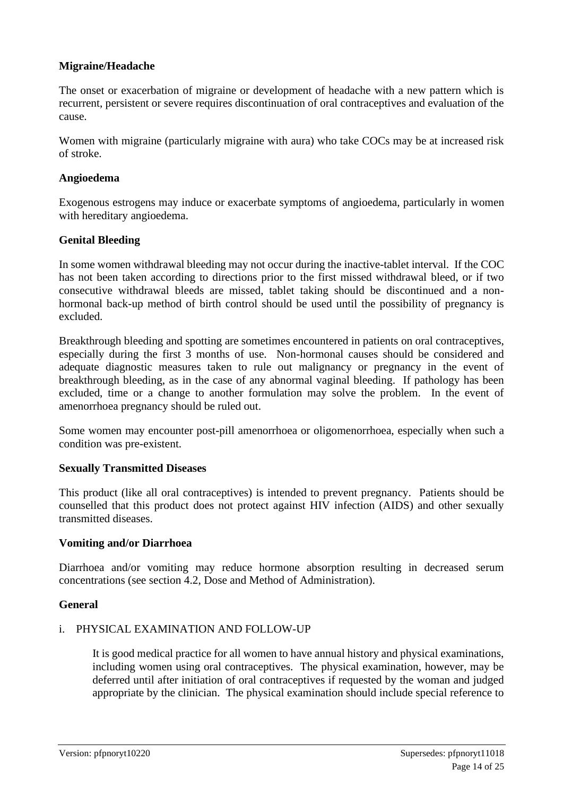#### **Migraine/Headache**

The onset or exacerbation of migraine or development of headache with a new pattern which is recurrent, persistent or severe requires discontinuation of oral contraceptives and evaluation of the cause.

Women with migraine (particularly migraine with aura) who take COCs may be at increased risk of stroke.

#### **Angioedema**

Exogenous estrogens may induce or exacerbate symptoms of angioedema, particularly in women with hereditary angioedema.

#### **Genital Bleeding**

In some women withdrawal bleeding may not occur during the inactive-tablet interval. If the COC has not been taken according to directions prior to the first missed withdrawal bleed, or if two consecutive withdrawal bleeds are missed, tablet taking should be discontinued and a nonhormonal back-up method of birth control should be used until the possibility of pregnancy is excluded.

Breakthrough bleeding and spotting are sometimes encountered in patients on oral contraceptives, especially during the first 3 months of use. Non-hormonal causes should be considered and adequate diagnostic measures taken to rule out malignancy or pregnancy in the event of breakthrough bleeding, as in the case of any abnormal vaginal bleeding. If pathology has been excluded, time or a change to another formulation may solve the problem. In the event of amenorrhoea pregnancy should be ruled out.

Some women may encounter post-pill amenorrhoea or oligomenorrhoea, especially when such a condition was pre-existent.

#### **Sexually Transmitted Diseases**

This product (like all oral contraceptives) is intended to prevent pregnancy. Patients should be counselled that this product does not protect against HIV infection (AIDS) and other sexually transmitted diseases.

#### **Vomiting and/or Diarrhoea**

Diarrhoea and/or vomiting may reduce hormone absorption resulting in decreased serum concentrations (see section 4.2, Dose and Method of Administration).

#### **General**

#### i. PHYSICAL EXAMINATION AND FOLLOW-UP

It is good medical practice for all women to have annual history and physical examinations, including women using oral contraceptives. The physical examination, however, may be deferred until after initiation of oral contraceptives if requested by the woman and judged appropriate by the clinician. The physical examination should include special reference to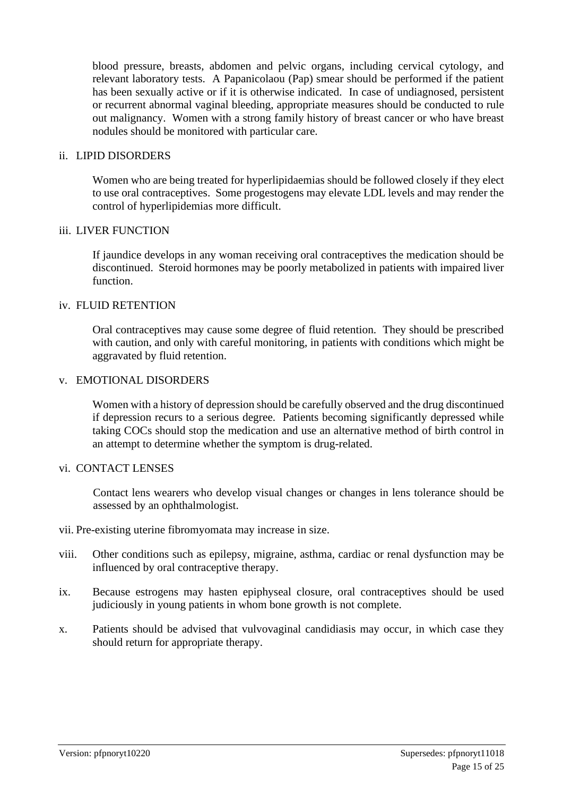blood pressure, breasts, abdomen and pelvic organs, including cervical cytology, and relevant laboratory tests. A Papanicolaou (Pap) smear should be performed if the patient has been sexually active or if it is otherwise indicated. In case of undiagnosed, persistent or recurrent abnormal vaginal bleeding, appropriate measures should be conducted to rule out malignancy. Women with a strong family history of breast cancer or who have breast nodules should be monitored with particular care.

#### ii. LIPID DISORDERS

Women who are being treated for hyperlipidaemias should be followed closely if they elect to use oral contraceptives. Some progestogens may elevate LDL levels and may render the control of hyperlipidemias more difficult.

#### iii. LIVER FUNCTION

If jaundice develops in any woman receiving oral contraceptives the medication should be discontinued. Steroid hormones may be poorly metabolized in patients with impaired liver function.

#### iv. FLUID RETENTION

Oral contraceptives may cause some degree of fluid retention. They should be prescribed with caution, and only with careful monitoring, in patients with conditions which might be aggravated by fluid retention.

#### v. EMOTIONAL DISORDERS

Women with a history of depression should be carefully observed and the drug discontinued if depression recurs to a serious degree. Patients becoming significantly depressed while taking COCs should stop the medication and use an alternative method of birth control in an attempt to determine whether the symptom is drug-related.

#### vi. CONTACT LENSES

Contact lens wearers who develop visual changes or changes in lens tolerance should be assessed by an ophthalmologist.

- vii. Pre-existing uterine fibromyomata may increase in size.
- viii. Other conditions such as epilepsy, migraine, asthma, cardiac or renal dysfunction may be influenced by oral contraceptive therapy.
- ix. Because estrogens may hasten epiphyseal closure, oral contraceptives should be used judiciously in young patients in whom bone growth is not complete.
- x. Patients should be advised that vulvovaginal candidiasis may occur, in which case they should return for appropriate therapy.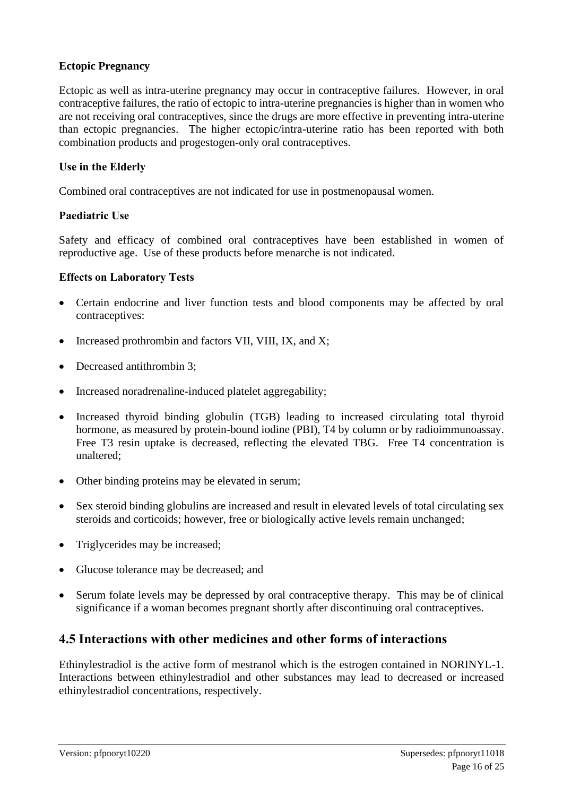#### **Ectopic Pregnancy**

Ectopic as well as intra-uterine pregnancy may occur in contraceptive failures. However, in oral contraceptive failures, the ratio of ectopic to intra-uterine pregnancies is higher than in women who are not receiving oral contraceptives, since the drugs are more effective in preventing intra-uterine than ectopic pregnancies. The higher ectopic/intra-uterine ratio has been reported with both combination products and progestogen-only oral contraceptives.

#### **Use in the Elderly**

Combined oral contraceptives are not indicated for use in postmenopausal women.

#### **Paediatric Use**

Safety and efficacy of combined oral contraceptives have been established in women of reproductive age. Use of these products before menarche is not indicated.

#### **Effects on Laboratory Tests**

- Certain endocrine and liver function tests and blood components may be affected by oral contraceptives:
- Increased prothrombin and factors VII, VIII, IX, and X;
- Decreased antithrombin 3:
- Increased noradrenaline-induced platelet aggregability;
- Increased thyroid binding globulin (TGB) leading to increased circulating total thyroid hormone, as measured by protein-bound iodine (PBI), T4 by column or by radioimmunoassay. Free T3 resin uptake is decreased, reflecting the elevated TBG. Free T4 concentration is unaltered;
- Other binding proteins may be elevated in serum;
- Sex steroid binding globulins are increased and result in elevated levels of total circulating sex steroids and corticoids; however, free or biologically active levels remain unchanged;
- Triglycerides may be increased;
- Glucose tolerance may be decreased; and
- Serum folate levels may be depressed by oral contraceptive therapy. This may be of clinical significance if a woman becomes pregnant shortly after discontinuing oral contraceptives.

### **4.5 Interactions with other medicines and other forms of interactions**

Ethinylestradiol is the active form of mestranol which is the estrogen contained in NORINYL-1. Interactions between ethinylestradiol and other substances may lead to decreased or increased ethinylestradiol concentrations, respectively.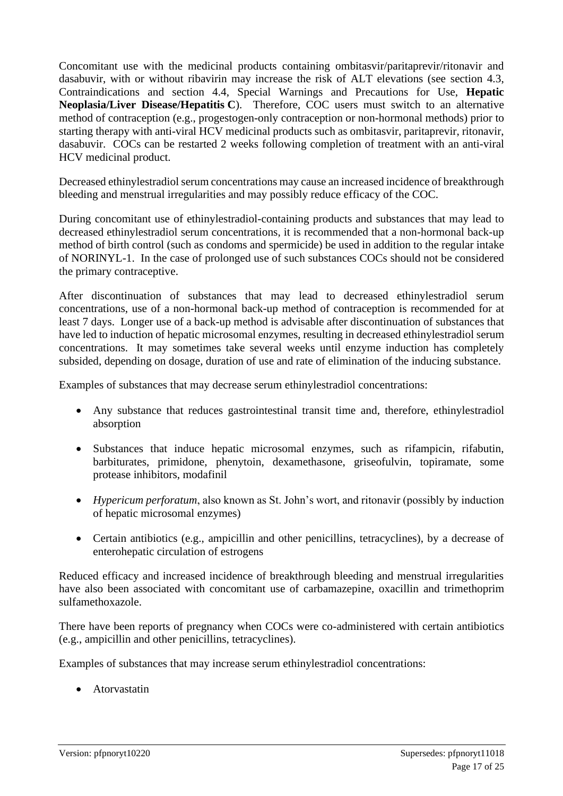Concomitant use with the medicinal products containing ombitasvir/paritaprevir/ritonavir and dasabuvir, with or without ribavirin may increase the risk of ALT elevations (see section 4.3, Contraindications and section 4.4, Special Warnings and Precautions for Use, **Hepatic Neoplasia/Liver Disease/Hepatitis C**). Therefore, COC users must switch to an alternative method of contraception (e.g., progestogen-only contraception or non-hormonal methods) prior to starting therapy with anti-viral HCV medicinal products such as ombitasvir, paritaprevir, ritonavir, dasabuvir. COCs can be restarted 2 weeks following completion of treatment with an anti-viral HCV medicinal product.

Decreased ethinylestradiol serum concentrations may cause an increased incidence of breakthrough bleeding and menstrual irregularities and may possibly reduce efficacy of the COC.

During concomitant use of ethinylestradiol-containing products and substances that may lead to decreased ethinylestradiol serum concentrations, it is recommended that a non-hormonal back-up method of birth control (such as condoms and spermicide) be used in addition to the regular intake of NORINYL-1. In the case of prolonged use of such substances COCs should not be considered the primary contraceptive.

After discontinuation of substances that may lead to decreased ethinylestradiol serum concentrations, use of a non-hormonal back-up method of contraception is recommended for at least 7 days. Longer use of a back-up method is advisable after discontinuation of substances that have led to induction of hepatic microsomal enzymes, resulting in decreased ethinylestradiol serum concentrations. It may sometimes take several weeks until enzyme induction has completely subsided, depending on dosage, duration of use and rate of elimination of the inducing substance.

Examples of substances that may decrease serum ethinylestradiol concentrations:

- Any substance that reduces gastrointestinal transit time and, therefore, ethinylestradiol absorption
- Substances that induce hepatic microsomal enzymes, such as rifampicin, rifabutin, barbiturates, primidone, phenytoin, dexamethasone, griseofulvin, topiramate, some protease inhibitors, modafinil
- *Hypericum perforatum*, also known as St. John's wort, and ritonavir (possibly by induction of hepatic microsomal enzymes)
- Certain antibiotics (e.g., ampicillin and other penicillins, tetracyclines), by a decrease of enterohepatic circulation of estrogens

Reduced efficacy and increased incidence of breakthrough bleeding and menstrual irregularities have also been associated with concomitant use of carbamazepine, oxacillin and trimethoprim sulfamethoxazole.

There have been reports of pregnancy when COCs were co-administered with certain antibiotics (e.g., ampicillin and other penicillins, tetracyclines).

Examples of substances that may increase serum ethinylestradiol concentrations:

• Atorvastatin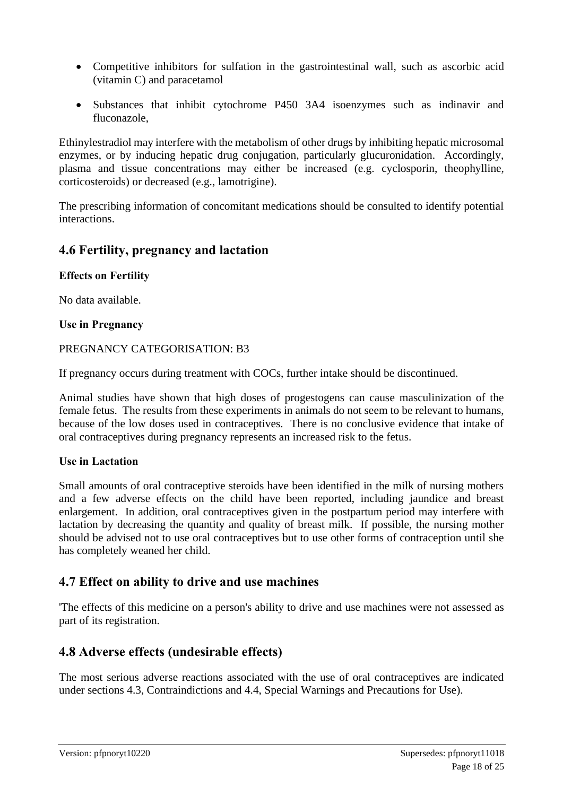- Competitive inhibitors for sulfation in the gastrointestinal wall, such as ascorbic acid (vitamin C) and paracetamol
- Substances that inhibit cytochrome P450 3A4 isoenzymes such as indinavir and fluconazole,

Ethinylestradiol may interfere with the metabolism of other drugs by inhibiting hepatic microsomal enzymes, or by inducing hepatic drug conjugation, particularly glucuronidation. Accordingly, plasma and tissue concentrations may either be increased (e.g. cyclosporin, theophylline, corticosteroids) or decreased (e.g., lamotrigine).

The prescribing information of concomitant medications should be consulted to identify potential interactions.

### **4.6 Fertility, pregnancy and lactation**

#### **Effects on Fertility**

No data available.

#### **Use in Pregnancy**

#### PREGNANCY CATEGORISATION: B3

If pregnancy occurs during treatment with COCs, further intake should be discontinued.

Animal studies have shown that high doses of progestogens can cause masculinization of the female fetus. The results from these experiments in animals do not seem to be relevant to humans, because of the low doses used in contraceptives. There is no conclusive evidence that intake of oral contraceptives during pregnancy represents an increased risk to the fetus.

#### **Use in Lactation**

Small amounts of oral contraceptive steroids have been identified in the milk of nursing mothers and a few adverse effects on the child have been reported, including jaundice and breast enlargement. In addition, oral contraceptives given in the postpartum period may interfere with lactation by decreasing the quantity and quality of breast milk. If possible, the nursing mother should be advised not to use oral contraceptives but to use other forms of contraception until she has completely weaned her child.

#### **4.7 Effect on ability to drive and use machines**

'The effects of this medicine on a person's ability to drive and use machines were not assessed as part of its registration.

#### **4.8 Adverse effects (undesirable effects)**

The most serious adverse reactions associated with the use of oral contraceptives are indicated under sections 4.3, Contraindictions and 4.4, Special Warnings and Precautions for Use).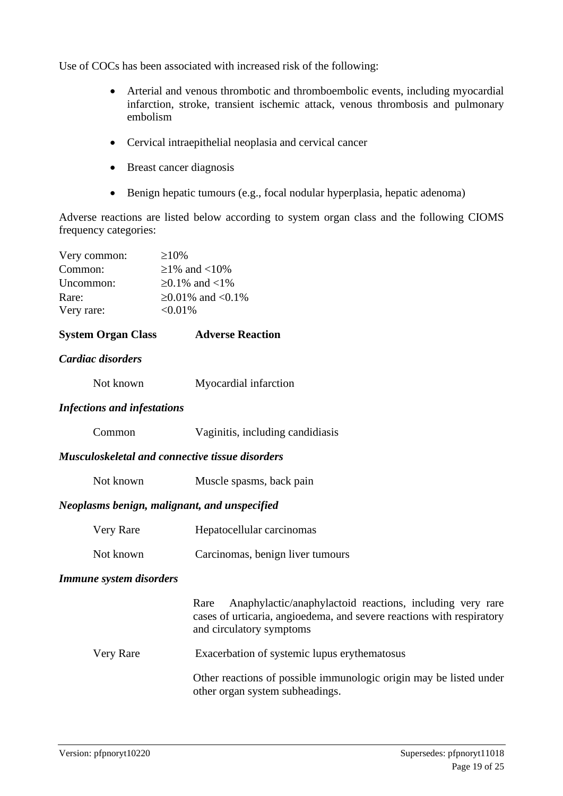Use of COCs has been associated with increased risk of the following:

- Arterial and venous thrombotic and thromboembolic events, including myocardial infarction, stroke, transient ischemic attack, venous thrombosis and pulmonary embolism
- Cervical intraepithelial neoplasia and cervical cancer
- Breast cancer diagnosis
- Benign hepatic tumours (e.g., focal nodular hyperplasia, hepatic adenoma)

Adverse reactions are listed below according to system organ class and the following CIOMS frequency categories:

| Very common: | $\geq 10\%$      |
|--------------|------------------|
| Common:      | $≥1\%$ and <10\% |
| Uncommon:    | ≥0.1% and <1%    |
| Rare:        | ≥0.01% and <0.1% |
| Very rare:   | $< 0.01\%$       |

#### **System Organ Class Adverse Reaction**

#### *Cardiac disorders*

#### *Infections and infestations*

| Common |  | Vaginitis, including candidiasis |
|--------|--|----------------------------------|
|        |  |                                  |

#### *Musculoskeletal and connective tissue disorders*

| Not known | Muscle spasms, back pain |  |
|-----------|--------------------------|--|
|-----------|--------------------------|--|

#### *Neoplasms benign, malignant, and unspecified*

| Very Rare | Hepatocellular carcinomas |
|-----------|---------------------------|
|-----------|---------------------------|

#### Not known Carcinomas, benign liver tumours

#### *Immune system disorders*

Rare Anaphylactic/anaphylactoid reactions, including very rare cases of urticaria, angioedema, and severe reactions with respiratory and circulatory symptoms

Very Rare Exacerbation of systemic lupus erythematosus

Other reactions of possible immunologic origin may be listed under other organ system subheadings.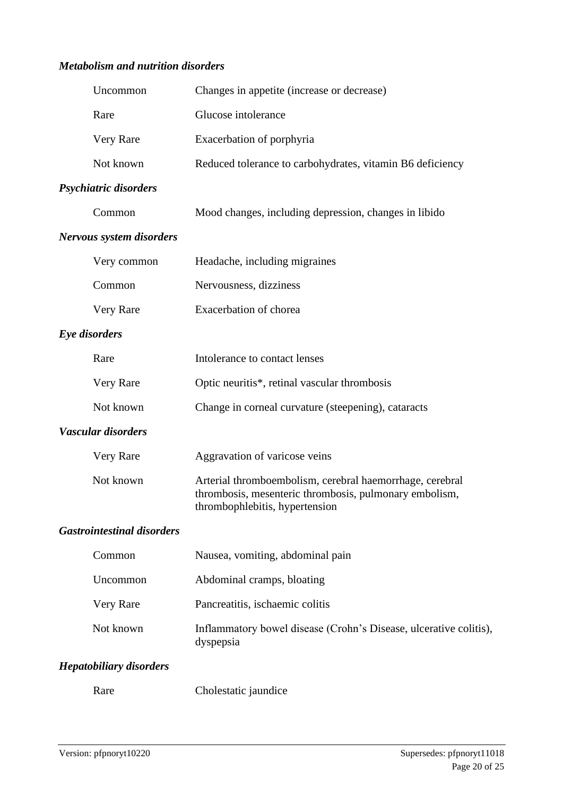#### *Metabolism and nutrition disorders*

| Uncommon                          | Changes in appetite (increase or decrease)                                                                                                            |
|-----------------------------------|-------------------------------------------------------------------------------------------------------------------------------------------------------|
| Rare                              | Glucose intolerance                                                                                                                                   |
| Very Rare                         | Exacerbation of porphyria                                                                                                                             |
| Not known                         | Reduced tolerance to carbohydrates, vitamin B6 deficiency                                                                                             |
| Psychiatric disorders             |                                                                                                                                                       |
| Common                            | Mood changes, including depression, changes in libido                                                                                                 |
| Nervous system disorders          |                                                                                                                                                       |
| Very common                       | Headache, including migraines                                                                                                                         |
| Common                            | Nervousness, dizziness                                                                                                                                |
| Very Rare                         | Exacerbation of chorea                                                                                                                                |
| Eye disorders                     |                                                                                                                                                       |
| Rare                              | Intolerance to contact lenses                                                                                                                         |
| Very Rare                         | Optic neuritis*, retinal vascular thrombosis                                                                                                          |
| Not known                         | Change in corneal curvature (steepening), cataracts                                                                                                   |
| Vascular disorders                |                                                                                                                                                       |
| Very Rare                         | Aggravation of varicose veins                                                                                                                         |
| Not known                         | Arterial thromboembolism, cerebral haemorrhage, cerebral<br>thrombosis, mesenteric thrombosis, pulmonary embolism,<br>thromboph lebitis, hypertension |
| <b>Gastrointestinal disorders</b> |                                                                                                                                                       |
| Common                            | Nausea, vomiting, abdominal pain                                                                                                                      |
| Uncommon                          | Abdominal cramps, bloating                                                                                                                            |
| Very Rare                         | Pancreatitis, ischaemic colitis                                                                                                                       |
| Not known                         | Inflammatory bowel disease (Crohn's Disease, ulcerative colitis),<br>dyspepsia                                                                        |
| <b>Hepatobiliary disorders</b>    |                                                                                                                                                       |

Rare Cholestatic jaundice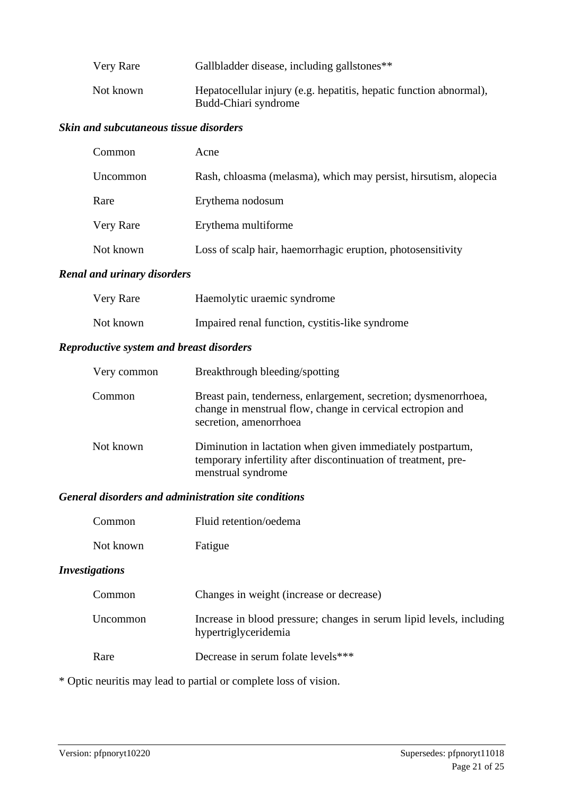| Very Rare | Gallbladder disease, including gallstones**                                                |
|-----------|--------------------------------------------------------------------------------------------|
| Not known | Hepatocellular injury (e.g. hepatitis, hepatic function abnormal),<br>Budd-Chiari syndrome |

#### *Skin and subcutaneous tissue disorders*

| Common           | Acne                                                             |
|------------------|------------------------------------------------------------------|
| Uncommon         | Rash, chloasma (melasma), which may persist, hirsutism, alopecia |
| Rare             | Erythema nodosum                                                 |
| <b>Very Rare</b> | Erythema multiforme                                              |
| Not known        | Loss of scalp hair, haemorrhagic eruption, photosensitivity      |

#### *Renal and urinary disorders*

| Very Rare | Haemolytic uraemic syndrome                     |
|-----------|-------------------------------------------------|
| Not known | Impaired renal function, cystitis-like syndrome |

#### *Reproductive system and breast disorders*

| Very common | Breakthrough bleeding/spotting                                                                                                                          |
|-------------|---------------------------------------------------------------------------------------------------------------------------------------------------------|
| Common      | Breast pain, tenderness, enlargement, secretion; dysmenorrhoea,<br>change in menstrual flow, change in cervical ectropion and<br>secretion, amenorrhoea |
| Not known   | Diminution in lactation when given immediately postpartum,<br>temporary infertility after discontinuation of treatment, pre-<br>menstrual syndrome      |

#### *General disorders and administration site conditions*

| Common | Fluid retention/oedema |
|--------|------------------------|
|        |                        |

Not known Fatigue

### *Investigations*

| Common   | Changes in weight (increase or decrease)                                                     |
|----------|----------------------------------------------------------------------------------------------|
| Uncommon | Increase in blood pressure; changes in serum lipid levels, including<br>hypertriglyceridemia |
| Rare     | Decrease in serum folate levels***                                                           |

\* Optic neuritis may lead to partial or complete loss of vision.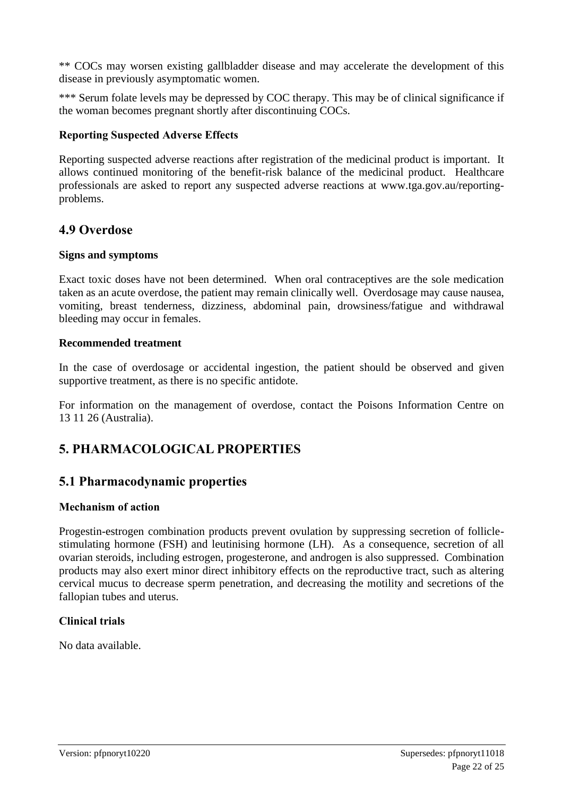\*\* COCs may worsen existing gallbladder disease and may accelerate the development of this disease in previously asymptomatic women.

\*\*\* Serum folate levels may be depressed by COC therapy. This may be of clinical significance if the woman becomes pregnant shortly after discontinuing COCs.

#### **Reporting Suspected Adverse Effects**

Reporting suspected adverse reactions after registration of the medicinal product is important. It allows continued monitoring of the benefit-risk balance of the medicinal product. Healthcare professionals are asked to report any suspected adverse reactions at www.tga.gov.au/reportingproblems.

### **4.9 Overdose**

#### **Signs and symptoms**

Exact toxic doses have not been determined. When oral contraceptives are the sole medication taken as an acute overdose, the patient may remain clinically well. Overdosage may cause nausea, vomiting, breast tenderness, dizziness, abdominal pain, drowsiness/fatigue and withdrawal bleeding may occur in females.

#### **Recommended treatment**

In the case of overdosage or accidental ingestion, the patient should be observed and given supportive treatment, as there is no specific antidote.

For information on the management of overdose, contact the Poisons Information Centre on 13 11 26 (Australia).

# **5. PHARMACOLOGICAL PROPERTIES**

### **5.1 Pharmacodynamic properties**

#### **Mechanism of action**

Progestin-estrogen combination products prevent ovulation by suppressing secretion of folliclestimulating hormone (FSH) and leutinising hormone (LH). As a consequence, secretion of all ovarian steroids, including estrogen, progesterone, and androgen is also suppressed. Combination products may also exert minor direct inhibitory effects on the reproductive tract, such as altering cervical mucus to decrease sperm penetration, and decreasing the motility and secretions of the fallopian tubes and uterus.

#### **Clinical trials**

No data available.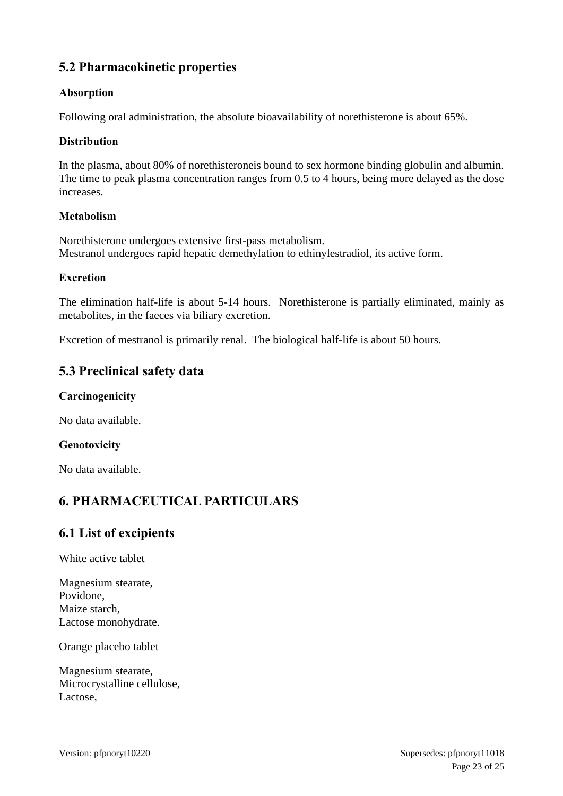# **5.2 Pharmacokinetic properties**

### **Absorption**

Following oral administration, the absolute bioavailability of norethisterone is about 65%.

#### **Distribution**

In the plasma, about 80% of norethisteroneis bound to sex hormone binding globulin and albumin. The time to peak plasma concentration ranges from 0.5 to 4 hours, being more delayed as the dose increases.

#### **Metabolism**

Norethisterone undergoes extensive first-pass metabolism. Mestranol undergoes rapid hepatic demethylation to ethinylestradiol, its active form.

#### **Excretion**

The elimination half-life is about 5-14 hours. Norethisterone is partially eliminated, mainly as metabolites, in the faeces via biliary excretion.

Excretion of mestranol is primarily renal. The biological half-life is about 50 hours.

# **5.3 Preclinical safety data**

#### **Carcinogenicity**

No data available.

#### **Genotoxicity**

No data available.

# **6. PHARMACEUTICAL PARTICULARS**

### **6.1 List of excipients**

#### White active tablet

Magnesium stearate, Povidone, Maize starch, Lactose monohydrate.

Orange placebo tablet

Magnesium stearate, Microcrystalline cellulose, Lactose,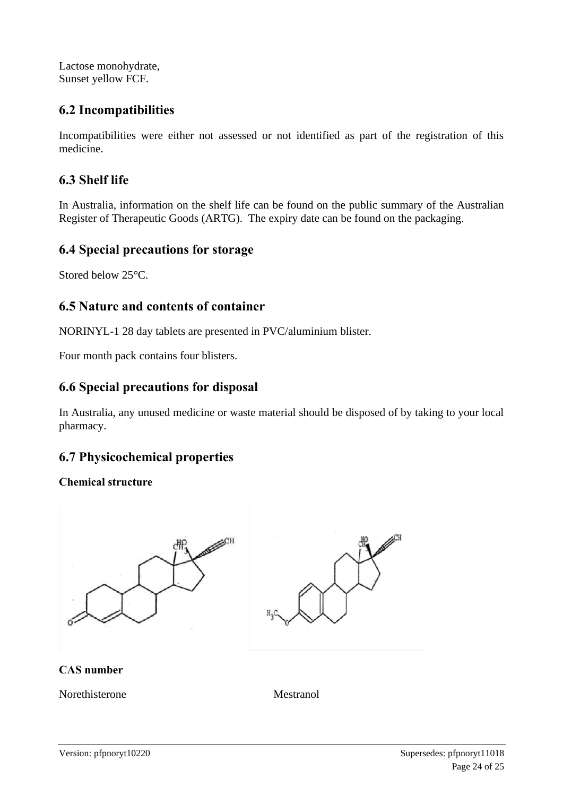Lactose monohydrate, Sunset yellow FCF.

### **6.2 Incompatibilities**

Incompatibilities were either not assessed or not identified as part of the registration of this medicine.

# **6.3 Shelf life**

In Australia, information on the shelf life can be found on the public summary of the Australian Register of Therapeutic Goods (ARTG). The expiry date can be found on the packaging.

### **6.4 Special precautions for storage**

Stored below 25°C.

### **6.5 Nature and contents of container**

NORINYL-1 28 day tablets are presented in PVC/aluminium blister.

Four month pack contains four blisters.

### **6.6 Special precautions for disposal**

In Australia, any unused medicine or waste material should be disposed of by taking to your local pharmacy.

# **6.7 Physicochemical properties**

#### **Chemical structure**



#### **CAS number**

Norethisterone Mestranol